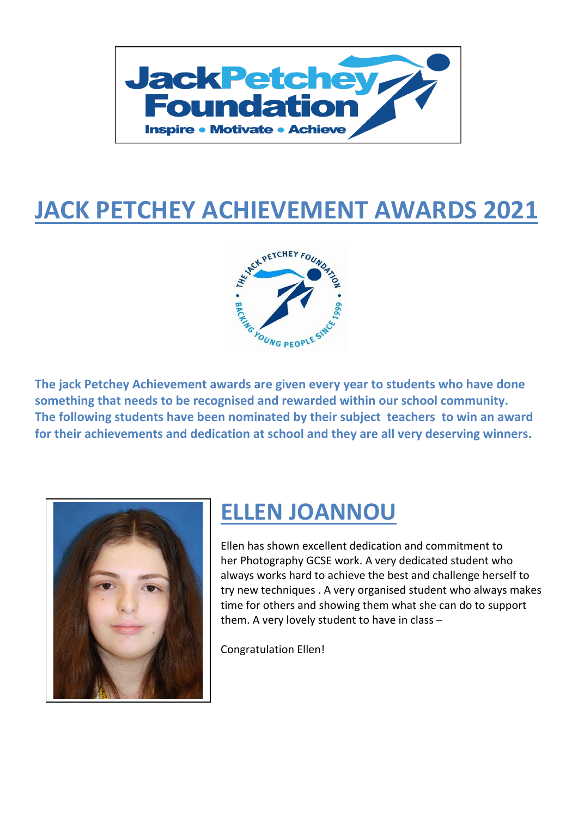

## **JACK PETCHEY ACHIEVEMENT AWARDS 2021**



**The jack Petchey Achievement awards are given every year to students who have done something that needs to be recognised and rewarded within our school community. The following students have been nominated by their subject teachers to win an award for their achievements and dedication at school and they are all very deserving winners.**



## **ELLEN JOANNOU**

Ellen has shown excellent dedication and commitment to her Photography GCSE work. A very dedicated student who always works hard to achieve the best and challenge herself to try new techniques . A very organised student who always makes time for others and showing them what she can do to support them. A very lovely student to have in class –

Congratulation Ellen!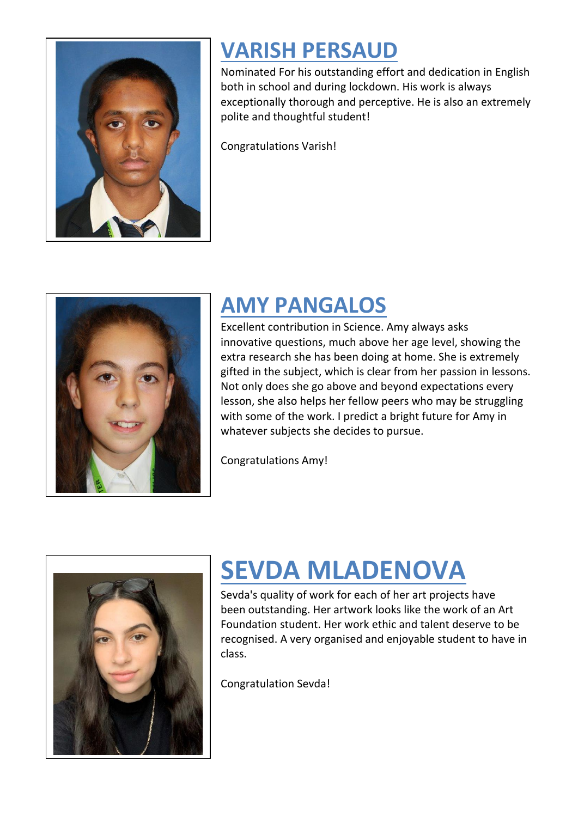

## **VARISH PERSAUD**

Nominated For his outstanding effort and dedication in English both in school and during lockdown. His work is always exceptionally thorough and perceptive. He is also an extremely polite and thoughtful student!

Congratulations Varish!



## **AMY PANGALOS**

Excellent contribution in Science. Amy always asks innovative questions, much above her age level, showing the extra research she has been doing at home. She is extremely gifted in the subject, which is clear from her passion in lessons. Not only does she go above and beyond expectations every lesson, she also helps her fellow peers who may be struggling with some of the work. I predict a bright future for Amy in whatever subjects she decides to pursue.

Congratulations Amy!



# **SEVDA MLADENOVA**

Sevda's quality of work for each of her art projects have been outstanding. Her artwork looks like the work of an Art Foundation student. Her work ethic and talent deserve to be recognised. A very organised and enjoyable student to have in class.

Congratulation Sevda!